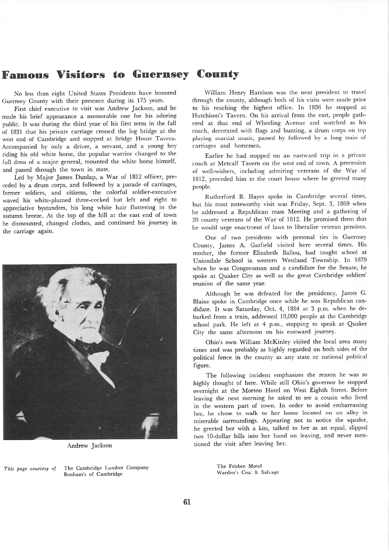## *Famous Visitors to Guernsey County*

No less than eight United States Presidents have honored Guernsey County with their presence during its 175 years.

First chief executive to visit was Andrew Jackson, and he made his brief appearance a memorable one for his adoring public. It was during the third year of his first term in the fall of 1831 that his private carriage crossed the log bridge at the west end of Cambridge and stopped at Bridge House Tavern. Accompanied by only a driver, a servant, and a young boy riding his old white horse, the popular warrior changed to the full dress of a major general, mounted the white horse himself, and passed through the town in.state.

Led by Major James Dunlap, a War of 1812 officer, pre ceded by a drum corps, and followed by a parade of carriages, former soldiers, and citizens, the colorful soldier-executive waved his white-plumed three-cocked hat left and right to appreciative bystanders, his long white hair fluttering in the autumn breeze. At the top of the hill at the east end of town he dismounted, changed clothes, and continued his journey in the carriage again.



Andrew Jackson

**This page courtesy of**

The Cambridge Lumber Company Bonham's of Cambridge

William Henry Harrison was the next president to travel through the county, although both of his visits were made prior to his reaching the highest office. In 1836 he stopped at Hutchison's Tavern. On his arrival from the east, people gath ered at that end of Wheeling Avenue and watched as his coach, decorated with flags and bunting, a drum corps on top playing martial music, passed by followed by a long train of carriages and horsemen.

Earlier he had stopped on an eastward trip in a private coach at Metcalf Tavern on the west end of town. A procession of well-wishers, including admiring veterans of the War of 1812, preceded him to the court house where he greeted manypeople.

Rutherford B. Hayes spoke in Cambridge several times, but his most noteworthy visit was Friday, Sept. 3, 1869 when he addressed a Republican mass Meeting and a gathering of 20 county veterans of the War of 1812. He promised them that he would urge enactment of laws to liberalize veteran pensions.

One of two presidents with personal ties in Guernsey County, James A. Garfield visited here several times. His mother, the former Elizabeth Ballou, had taught school at Uniondale School in western Westland Township. In 1879 when he was Congressman and a candidate for the Senate, he spoke at Quaker City as well as the great Cambridge soldiers' reunion of the same year.

Although he was defeated for the presidency, James G. Blaine spoke in Cambridge once while he was Republican can didate. It was Saturday, Oct. 4, 1884 at 3 p.m. when he de barked from a train, addressed 10,000 people at the Cambridge school park. He left at 4 p.m., stopping to speak at Quaker City the same afternoon on his eastward journey.

Ohio's own William McKinley visited the local area manytimes and was probably as highly regarded on both sides of the political fence in the county as any state or national political figure.

The following incident emphasizes the reason he was so highly thought of here. While still Ohio's governor he stopped overnight at the Morton Hotel on West Eighth Street. Before leaving the next morning he asked to see a cousin who lived in the western part of town. In order to avoid embarrassing her, he chose to walk to her home located on an alley in miserable surroundings. Appearing not to notice the squalor, he greeted her with a kiss, talked to her as an equal, slipped two 10-dollar bills into her hand on leaving, and never men tioned the visit after leaving her.

> The Frisbee Motel Warden's Coal & Salvage